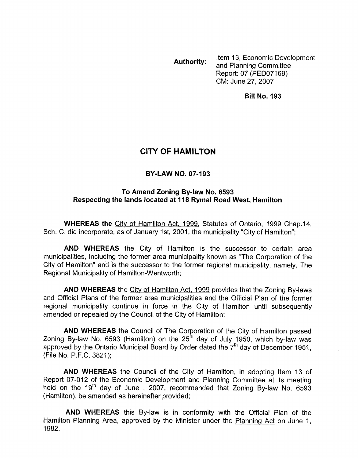Item 13, Economic Development Report: 07 (PED07169) CM: June 27,2007 **Authority:** and Planning Committee

**Bill No. 193** 

## **CITY OF HAMILTON**

## **BY-LAW NO. 07-193**

## **To Amend Zoning By-law No. 6593 Respecting the lands located at 118 Rymal Road West, Hamilton**

**WHEREAS the** Citv of Hamilton Act. 1999, Statutes of Ontario, 1999 Chap.14, Sch. C. did incorporate, as of January 1st, 2001, the municipality "City of Hamilton";

**AND WHEREAS** the City of Hamilton is the successor to certain area municipalities, including the former area municipality known as "The Corporation of the City of Hamilton" and is the successor to the former regional municipality, namely, The Regional Municipality of Hamilton-Wentworth;

**AND WHEREAS** the Citv of Hamilton Act, 1999 provides that the Zoning By-laws and Official Plans of the former area municipalities and the Official Plan of the former regional municipality continue in force in the City of Hamilton until subsequently amended or repealed by the Council of the City of Hamilton;

**AND WHEREAS** the Council of The Corporation of the City of Hamilton passed Zoning By-law No. 6593 (Hamilton) on the 25<sup>th</sup> day of July 1950, which by-law was approved by the Ontario Municipal Board by Order dated the  $7<sup>th</sup>$  day of December 1951, (File No. P.F.C. 3821);

**AND WHEREAS** the Council of the City of Hamilton, in adopting Item 13 of Report 07-012 of the Economic Development and Planning Committee at its meeting held on the 19<sup>th</sup> day of June , 2007, recommended that Zoning By-law No. 6593 (Hamilton), be amended as hereinafter provided;

**AND WHEREAS** this By-law is in conformity with the Official Plan of the Hamilton Planning Area, approved by the Minister under the Planning Act on June 1, 1982.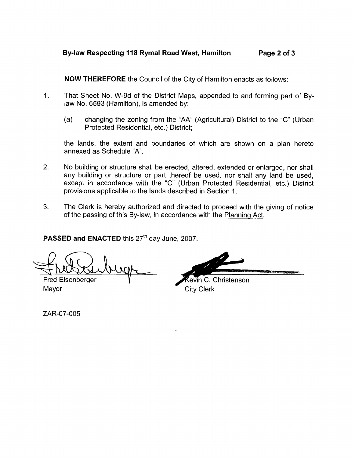## **Bylaw Respecting 118 Rymal Road West, Hamilton Page 2 of 3**

**NOW THEREFORE** the Council of the City of Hamilton enacts as follows:

- 1. That Sheet No. W-9d of the District Maps, appended to and forming part of Bylaw No. 6593 (Hamilton), is amended by:
	- (a) changing the zoning from the "AA" (Agricultural) District to the "C" (Urban Protected Residential, etc.) District;

the lands, the extent and boundaries of which are shown on a plan hereto annexed as Schedule "A".

- 2. No building or structure shall be erected, altered, extended or enlarged, nor shall any building or structure or part thereof be used, nor shall any land be used, except in accordance with the *"C"* (Urban Protected Residential, etc.) District provisions applicable to the lands described in Section 1.
- 3. The Clerk is hereby authorized and directed to proceed with the giving of notice of the passing of this By-law, in accordance with the Planning Act.

**PASSED and ENACTED this 27<sup>th</sup> day June, 2007.** 

 $2$  here been began Fred Eisenberger

evin C. Christenson Mayor City Clerk

ZAR-07-005